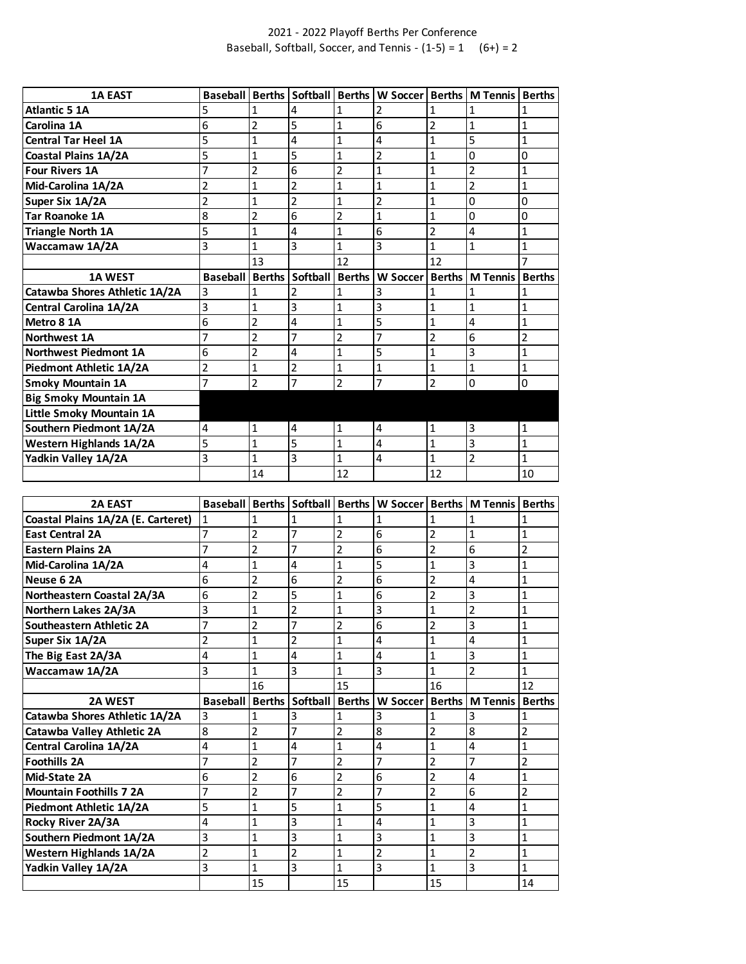## 2021 - 2022 Playoff Berths Per Conference Baseball, Softball, Soccer, and Tennis -  $(1-5) = 1$  (6+) = 2

| <b>1A EAST</b>                 | <b>Baseball</b> | <b>Berths</b>  | Softball Berths |                | W Soccer   Berths |              | <b>M</b> Tennis Berths            |              |
|--------------------------------|-----------------|----------------|-----------------|----------------|-------------------|--------------|-----------------------------------|--------------|
| <b>Atlantic 5 1A</b>           | 5               |                | 4               |                | $\overline{2}$    |              |                                   |              |
| Carolina 1A                    | 6               | 2              | 5               | 1              | 6                 | 2            | 1                                 | 1            |
| <b>Central Tar Heel 1A</b>     | 5               | $\mathbf{1}$   | 4               | 1              | 4                 | 1            | 5                                 | $\mathbf{1}$ |
| <b>Coastal Plains 1A/2A</b>    | 5               | $\mathbf{1}$   | 5               | 1              | $\overline{2}$    | 1            | 0                                 | 0            |
| <b>Four Rivers 1A</b>          | 7               | 2              | 6               | 2              | $\overline{1}$    | 1            | 2                                 | 1            |
| Mid-Carolina 1A/2A             | 2               | 1              | 2               | 1              | 1                 | 1            | $\overline{2}$                    | $\mathbf{1}$ |
| Super Six 1A/2A                | 2               | $\mathbf{1}$   | $\overline{2}$  | $\overline{1}$ | $\overline{2}$    | $\mathbf{1}$ | 0                                 | $\Omega$     |
| <b>Tar Roanoke 1A</b>          | 8               | 2              | 6               | 2              | 1                 | 1            | 0                                 | 0            |
| <b>Triangle North 1A</b>       | 5               | $\mathbf{1}$   | 4               | 1              | 6                 | 2            | 4                                 | 1            |
| Waccamaw 1A/2A                 | 3               | 1              | 3               | 1              | 3                 | 1            | 1                                 | $\mathbf{1}$ |
|                                |                 | 13             |                 | 12             |                   | 12           |                                   |              |
| <b>1A WEST</b>                 | <b>Baseball</b> | <b>Berths</b>  | Softball        | <b>Berths</b>  | W Soccer          |              | <b>Berths   M Tennis   Berths</b> |              |
| Catawba Shores Athletic 1A/2A  | 3               | 1              | 2               |                | 3                 | 1            |                                   |              |
| Central Carolina 1A/2A         | 3               | $\mathbf{1}$   | 3               | $\mathbf{1}$   | 3                 | $\mathbf{1}$ | 1                                 | $\mathbf{1}$ |
| Metro 8 1A                     | 6               | $\overline{2}$ | 4               | 1              | 5                 | 1            | 4                                 | $\mathbf{1}$ |
| Northwest 1A                   | 7               | $\overline{c}$ | 7               | 2              | 7                 | 2            | 6                                 | 2            |
| <b>Northwest Piedmont 1A</b>   | 6               | 2              | 4               | 1              | 5                 | $\mathbf 1$  | 3                                 | $\mathbf{1}$ |
| Piedmont Athletic 1A/2A        | 2               | 1              | 2               | 1              | 1                 | 1            | 1                                 | $\mathbf{1}$ |
| <b>Smoky Mountain 1A</b>       | 7               | $\overline{2}$ | 7               | $\overline{2}$ | 7                 | 2            | 0                                 | $\mathbf 0$  |
| <b>Big Smoky Mountain 1A</b>   |                 |                |                 |                |                   |              |                                   |              |
| Little Smoky Mountain 1A       |                 |                |                 |                |                   |              |                                   |              |
| Southern Piedmont 1A/2A        | 4               | 1              | 4               | 1              | 4                 | 1            | 3                                 | 1            |
| <b>Western Highlands 1A/2A</b> | 5               | $\mathbf{1}$   | 5               | $\mathbf{1}$   | 4                 | 1            | 3                                 | 1            |
| Yadkin Valley 1A/2A            | 3               | $\mathbf{1}$   | 3               | $\mathbf{1}$   | 4                 | $\mathbf 1$  | 2                                 | $\mathbf{1}$ |
|                                |                 | 14             |                 | 12             |                   | 12           |                                   | 10           |

| <b>2A EAST</b>                     | <b>Baseball</b>          |                |                |                | Berths   Softball   Berths   W Soccer   Berths   M Tennis |                |                 | <b>Berths</b> |
|------------------------------------|--------------------------|----------------|----------------|----------------|-----------------------------------------------------------|----------------|-----------------|---------------|
| Coastal Plains 1A/2A (E. Carteret) | 1                        | 1              |                | 1              |                                                           |                |                 |               |
| <b>East Central 2A</b>             | 7                        | $\overline{2}$ | 7              | $\overline{2}$ | 6                                                         | $\overline{2}$ | 1               | $\mathbf{1}$  |
| <b>Eastern Plains 2A</b>           |                          | 2              | 7              | $\overline{2}$ | 6                                                         | 2              | 6               | 2             |
| Mid-Carolina 1A/2A                 | 4                        | 1              | 4              | $\mathbf{1}$   | 5                                                         | 1              | 3               | 1             |
| Neuse 6 2A                         | 6                        | $\overline{2}$ | 6              | $\overline{2}$ | 6                                                         | $\overline{2}$ | 4               | $\mathbf{1}$  |
| Northeastern Coastal 2A/3A         | 6                        | 2              | 5              | $\mathbf{1}$   | 6                                                         | $\overline{2}$ | 3               | $\mathbf{1}$  |
| Northern Lakes 2A/3A               | 3                        | 1              | 2              | $\mathbf{1}$   | 3                                                         | 1              | 2               | 1             |
| Southeastern Athletic 2A           | 7                        | 2              | 7              | $\overline{2}$ | 6                                                         | $\overline{2}$ | 3               | 1             |
| Super Six 1A/2A                    | $\overline{\phantom{a}}$ | $\mathbf{1}$   | $\overline{2}$ | $\mathbf{1}$   | 4                                                         | $\mathbf{1}$   | 4               | $\mathbf{1}$  |
| The Big East 2A/3A                 | 4                        | 1              | 4              | $\mathbf{1}$   | 4                                                         | 1              | 3               | 1             |
| Waccamaw 1A/2A                     | 3                        | $\mathbf{1}$   | 3              | $\mathbf{1}$   | 3                                                         | 1              | 2               | $\mathbf{1}$  |
|                                    |                          | 16             |                | 15             |                                                           | 16             |                 | 12            |
|                                    |                          |                |                |                |                                                           |                |                 |               |
| <b>2A WEST</b>                     | <b>Baseball</b>          | <b>Berths</b>  | Softball       | <b>Berths</b>  | <b>W Soccer</b>                                           | <b>Berths</b>  | <b>M</b> Tennis | <b>Berths</b> |
| Catawba Shores Athletic 1A/2A      | 3                        | 1              | 3              | 1              | 3                                                         |                | 3               |               |
| Catawba Valley Athletic 2A         | 8                        | $\overline{2}$ | 7              | $\overline{2}$ | 8                                                         | $\overline{2}$ | 8               | 2             |
| <b>Central Carolina 1A/2A</b>      | 4                        | 1              | 4              | $\mathbf{1}$   | 4                                                         | 1              | 4               | 1             |
| <b>Foothills 2A</b>                | 7                        | 2              | 7              | $\overline{2}$ | 7                                                         | 2              | 7               | 2             |
| Mid-State 2A                       | 6                        | 2              | 6              | $\overline{2}$ | 6                                                         | 2              | 4               | 1             |
| <b>Mountain Foothills 7 2A</b>     | 7                        | $\overline{2}$ | 7              | $\overline{2}$ | 7                                                         | $\overline{2}$ | 6               | 2             |
| Piedmont Athletic 1A/2A            | 5                        | $\mathbf{1}$   | 5              | $\mathbf{1}$   | 5                                                         | 1              | 4               | $\mathbf{1}$  |
| Rocky River 2A/3A                  | 4                        | $\overline{1}$ | 3              | $\mathbf{1}$   | 4                                                         | 1              | 3               | 1             |
| Southern Piedmont 1A/2A            | 3                        | $\mathbf{1}$   | 3              | $\mathbf{1}$   | 3                                                         | 1              | 3               | 1             |
| <b>Western Highlands 1A/2A</b>     | 2                        | 1              | $\overline{2}$ | $\mathbf{1}$   | 2                                                         | 1              | $\overline{2}$  | 1             |
| Yadkin Valley 1A/2A                | 3                        | 1              | 3              | $\mathbf{1}$   | 3                                                         | 1              | 3               | 1             |